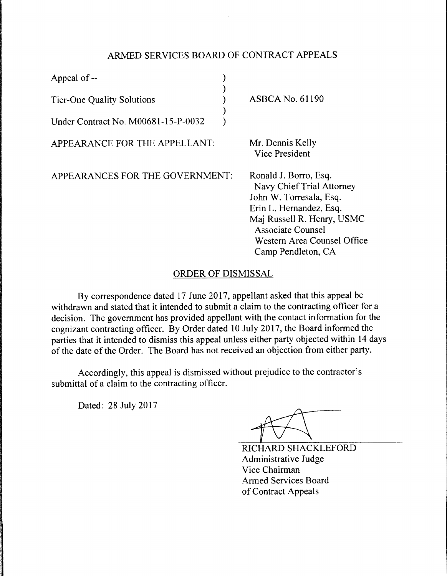## ARMED SERVICES BOARD OF CONTRACT APPEALS

| Appeal of --                        |                                                                                                                                                                                                                         |
|-------------------------------------|-------------------------------------------------------------------------------------------------------------------------------------------------------------------------------------------------------------------------|
| <b>Tier-One Quality Solutions</b>   | <b>ASBCA No. 61190</b>                                                                                                                                                                                                  |
| Under Contract No. M00681-15-P-0032 |                                                                                                                                                                                                                         |
| APPEARANCE FOR THE APPELLANT:       | Mr. Dennis Kelly<br>Vice President                                                                                                                                                                                      |
| APPEARANCES FOR THE GOVERNMENT:     | Ronald J. Borro, Esq.<br>Navy Chief Trial Attorney<br>John W. Torresala, Esq.<br>Erin L. Hernandez, Esq.<br>Maj Russell R. Henry, USMC<br><b>Associate Counsel</b><br>Western Area Counsel Office<br>Camp Pendleton, CA |

## ORDER OF DISMISSAL

By correspondence dated 17 June 2017, appellant asked that this appeal be withdrawn and stated that it intended to submit a claim to the contracting officer for a decision. The government has provided appellant with the contact information for the cognizant contracting officer. By Order dated 10 July 2017, the Board informed the parties that it intended to dismiss this appeal unless either party objected within 14 days of the date of the Order. The Board has not received an objection from either party.

Accordingly, this appeal is dismissed without prejudice to the contractor's submittal of a claim to the contracting officer.

Dated: 28 July 2017

RICHARD SHACKLEFORD Administrative Judge Vice Chairman Armed Services Board of Contract Appeals